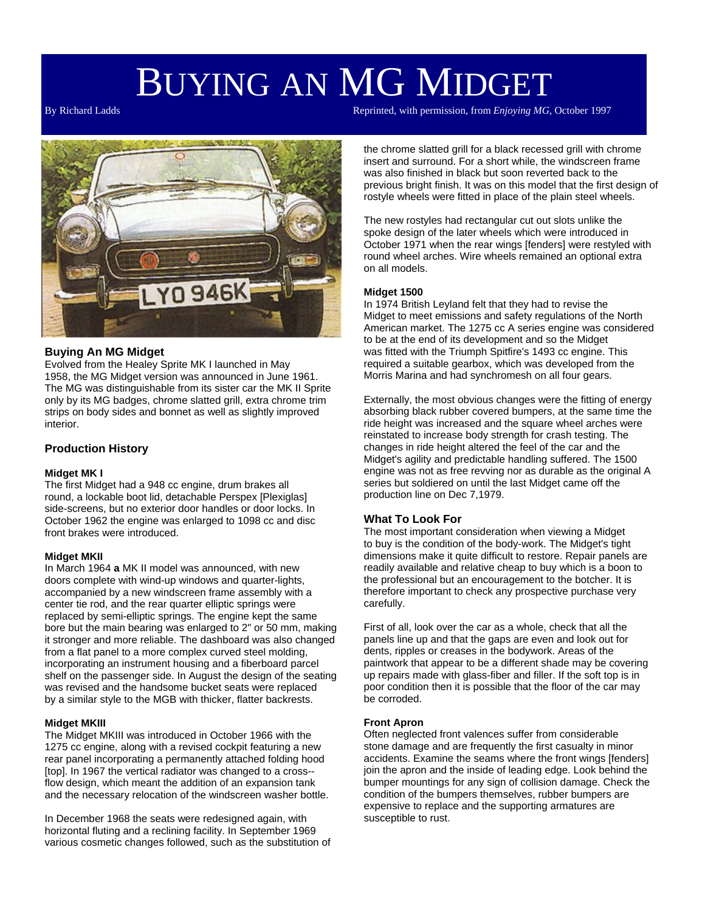# BUYING AN MG MIDGET

By Richard Ladds Reprinted, with permission, from *Enjoying MG*, October 1997



# **Buying An MG Midget**

Evolved from the Healey Sprite MK I launched in May 1958, the MG Midget version was announced in June 1961. The MG was distinguishable from its sister car the MK II Sprite only by its MG badges, chrome slatted grill, extra chrome trim strips on body sides and bonnet as well as slightly improved interior.

# **Production History**

#### **Midget MK I**

The first Midget had a 948 cc engine, drum brakes all round, a lockable boot lid, detachable Perspex [Plexiglas] side-screens, but no exterior door handles or door locks. In October 1962 the engine was enlarged to 1098 cc and disc front brakes were introduced.

#### **Midget MKII**

In March 1964 **a** MK II model was announced, with new doors complete with wind-up windows and quarter-lights, accompanied by a new windscreen frame assembly with a center tie rod, and the rear quarter elliptic springs were replaced by semi-elliptic springs. The engine kept the same bore but the main bearing was enlarged to 2" or 50 mm, making it stronger and more reliable. The dashboard was also changed from a flat panel to a more complex curved steel molding, incorporating an instrument housing and a fiberboard parcel shelf on the passenger side. In August the design of the seating was revised and the handsome bucket seats were replaced by a similar style to the MGB with thicker, flatter backrests.

# **Midget MKIII**

The Midget MKIII was introduced in October 1966 with the 1275 cc engine, along with a revised cockpit featuring a new rear panel incorporating a permanently attached folding hood [top]. In 1967 the vertical radiator was changed to a cross- flow design, which meant the addition of an expansion tank and the necessary relocation of the windscreen washer bottle.

In December 1968 the seats were redesigned again, with horizontal fluting and a reclining facility. In September 1969 various cosmetic changes followed, such as the substitution of the chrome slatted grill for a black recessed grill with chrome insert and surround. For a short while, the windscreen frame was also finished in black but soon reverted back to the previous bright finish. It was on this model that the first design of rostyle wheels were fitted in place of the plain steel wheels.

The new rostyles had rectangular cut out slots unlike the spoke design of the later wheels which were introduced in October 1971 when the rear wings [fenders] were restyled with round wheel arches. Wire wheels remained an optional extra on all models.

# **Midget 1500**

In 1974 British Leyland felt that they had to revise the Midget to meet emissions and safety regulations of the North American market. The 1275 cc A series engine was considered to be at the end of its development and so the Midget was fitted with the Triumph Spitfire's 1493 cc engine. This required a suitable gearbox, which was developed from the Morris Marina and had synchromesh on all four gears.

Externally, the most obvious changes were the fitting of energy absorbing black rubber covered bumpers, at the same time the ride height was increased and the square wheel arches were reinstated to increase body strength for crash testing. The changes in ride height altered the feel of the car and the Midget's agility and predictable handling suffered. The 1500 engine was not as free revving nor as durable as the original A series but soldiered on until the last Midget came off the production line on Dec 7,1979.

# **What To Look For**

The most important consideration when viewing a Midget to buy is the condition of the body-work. The Midget's tight dimensions make it quite difficult to restore. Repair panels are readily available and relative cheap to buy which is a boon to the professional but an encouragement to the botcher. It is therefore important to check any prospective purchase very carefully.

First of all, look over the car as a whole, check that all the panels line up and that the gaps are even and look out for dents, ripples or creases in the bodywork. Areas of the paintwork that appear to be a different shade may be covering up repairs made with glass-fiber and filler. If the soft top is in poor condition then it is possible that the floor of the car may be corroded.

#### **Front Apron**

Often neglected front valences suffer from considerable stone damage and are frequently the first casualty in minor accidents. Examine the seams where the front wings [fenders] join the apron and the inside of leading edge. Look behind the bumper mountings for any sign of collision damage. Check the condition of the bumpers themselves, rubber bumpers are expensive to replace and the supporting armatures are susceptible to rust.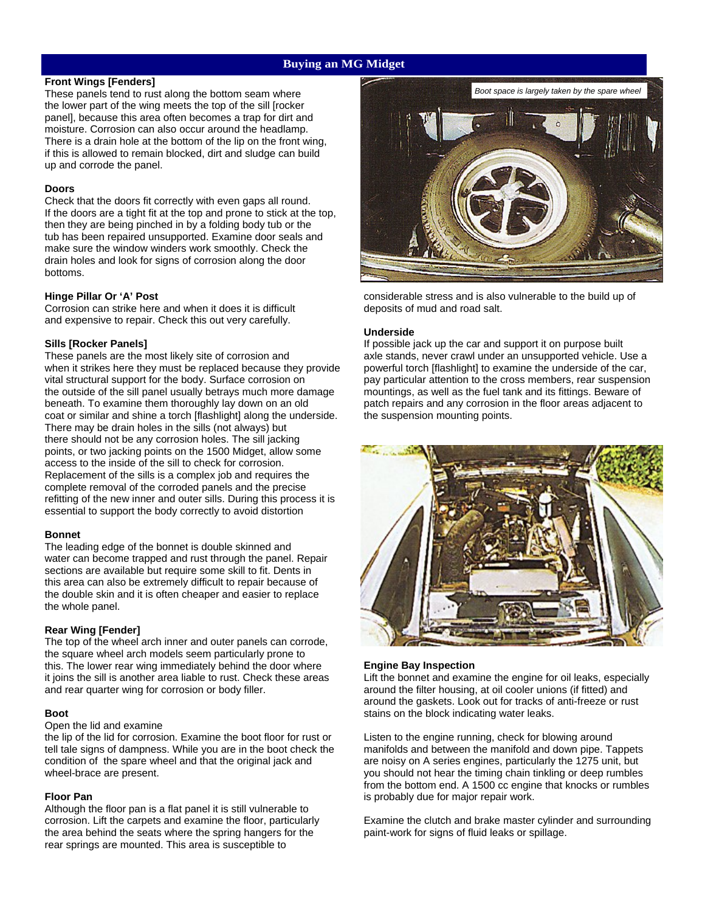# **Buying an MG Midget**

# **Front Wings [Fenders]**

These panels tend to rust along the bottom seam where the lower part of the wing meets the top of the sill [rocker panel], because this area often becomes a trap for dirt and moisture. Corrosion can also occur around the headlamp. There is a drain hole at the bottom of the lip on the front wing, if this is allowed to remain blocked, dirt and sludge can build up and corrode the panel.

### **Doors**

Check that the doors fit correctly with even gaps all round. If the doors are a tight fit at the top and prone to stick at the top. then they are being pinched in by a folding body tub or the tub has been repaired unsupported. Examine door seals and make sure the window winders work smoothly. Check the drain holes and look for signs of corrosion along the door bottoms.

# **Hinge Pillar Or 'A' Post**

Corrosion can strike here and when it does it is difficult and expensive to repair. Check this out very carefully.

# **Sills [Rocker Panels]**

These panels are the most likely site of corrosion and when it strikes here they must be replaced because they provide vital structural support for the body. Surface corrosion on the outside of the sill panel usually betrays much more damage beneath. To examine them thoroughly lay down on an old coat or similar and shine a torch [flashlight] along the underside. There may be drain holes in the sills (not always) but there should not be any corrosion holes. The sill jacking points, or two jacking points on the 1500 Midget, allow some access to the inside of the sill to check for corrosion. Replacement of the sills is a complex job and requires the complete removal of the corroded panels and the precise refitting of the new inner and outer sills. During this process it is essential to support the body correctly to avoid distortion

#### **Bonnet**

The leading edge of the bonnet is double skinned and water can become trapped and rust through the panel. Repair sections are available but require some skill to fit. Dents in this area can also be extremely difficult to repair because of the double skin and it is often cheaper and easier to replace the whole panel.

# **Rear Wing [Fender]**

The top of the wheel arch inner and outer panels can corrode, the square wheel arch models seem particularly prone to this. The lower rear wing immediately behind the door where it joins the sill is another area liable to rust. Check these areas and rear quarter wing for corrosion or body filler.

#### **Boot**

#### Open the lid and examine

the lip of the lid for corrosion. Examine the boot floor for rust or tell tale signs of dampness. While you are in the boot check the condition of the spare wheel and that the original jack and wheel-brace are present.

#### **Floor Pan**

Although the floor pan is a flat panel it is still vulnerable to corrosion. Lift the carpets and examine the floor, particularly the area behind the seats where the spring hangers for the rear springs are mounted. This area is susceptible to



considerable stress and is also vulnerable to the build up of deposits of mud and road salt.

#### **Underside**

If possible jack up the car and support it on purpose built axle stands, never crawl under an unsupported vehicle. Use a powerful torch [flashlight] to examine the underside of the car, pay particular attention to the cross members, rear suspension mountings, as well as the fuel tank and its fittings. Beware of patch repairs and any corrosion in the floor areas adjacent to the suspension mounting points.



#### **Engine Bay Inspection**

Lift the bonnet and examine the engine for oil leaks, especially around the filter housing, at oil cooler unions (if fitted) and around the gaskets. Look out for tracks of anti-freeze or rust stains on the block indicating water leaks.

Listen to the engine running, check for blowing around manifolds and between the manifold and down pipe. Tappets are noisy on A series engines, particularly the 1275 unit, but you should not hear the timing chain tinkling or deep rumbles from the bottom end. A 1500 cc engine that knocks or rumbles is probably due for major repair work.

Examine the clutch and brake master cylinder and surrounding paint-work for signs of fluid leaks or spillage.